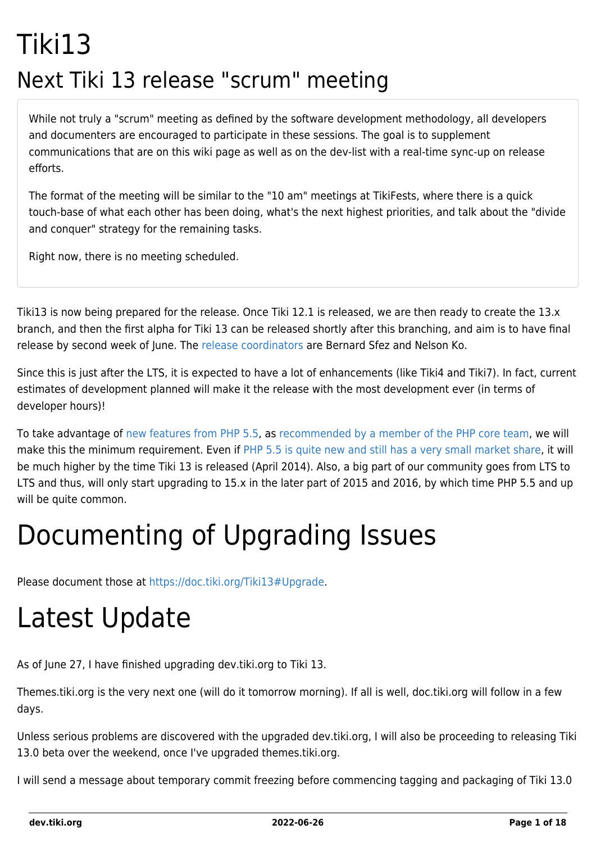## Tiki13 Next Tiki 13 release "scrum" meeting

While not truly a "scrum" meeting as defined by the software development methodology, all developers and documenters are encouraged to participate in these sessions. The goal is to supplement communications that are on this wiki page as well as on the dev-list with a real-time sync-up on release efforts.

The format of the meeting will be similar to the "10 am" meetings at TikiFests, where there is a quick touch-base of what each other has been doing, what's the next highest priorities, and talk about the "divide and conquer" strategy for the remaining tasks.

Right now, there is no meeting scheduled.

Tiki13 is now being prepared for the release. Once Tiki 12.1 is released, we are then ready to create the 13.x branch, and then the first alpha for Tiki 13 can be released shortly after this branching, and aim is to have final release by second week of June. The [release coordinators](http://tiki.org/release%20coordinators) are Bernard Sfez and Nelson Ko.

Since this is just after the LTS, it is expected to have a lot of enhancements (like Tiki4 and Tiki7). In fact, current estimates of development planned will make it the release with the most development ever (in terms of developer hours)!

To take advantage of [new features from PHP 5.5](http://php.net/manual/en/migration55.new-features.php), as [recommended by a member of the PHP core team,](http://schlueters.de/blog/archives/173-PHP-5.5-is-out,-whats-up-with-5.4-and-5.3.html) we will make this the minimum requirement. Even if [PHP 5.5 is quite new and still has a very small market share,](http://w3techs.com/technologies/details/pl-php/5/all) it will be much higher by the time Tiki 13 is released (April 2014). Also, a big part of our community goes from LTS to LTS and thus, will only start upgrading to 15.x in the later part of 2015 and 2016, by which time PHP 5.5 and up will be quite common.

# Documenting of Upgrading Issues

Please document those at [https://doc.tiki.org/Tiki13#Upgrade.](https://doc.tiki.org/Tiki13#Upgrade)

# Latest Update

As of June 27, I have finished upgrading dev.tiki.org to Tiki 13.

Themes.tiki.org is the very next one (will do it tomorrow morning). If all is well, doc.tiki.org will follow in a few days.

Unless serious problems are discovered with the upgraded dev.tiki.org, I will also be proceeding to releasing Tiki 13.0 beta over the weekend, once I've upgraded themes.tiki.org.

I will send a message about temporary commit freezing before commencing tagging and packaging of Tiki 13.0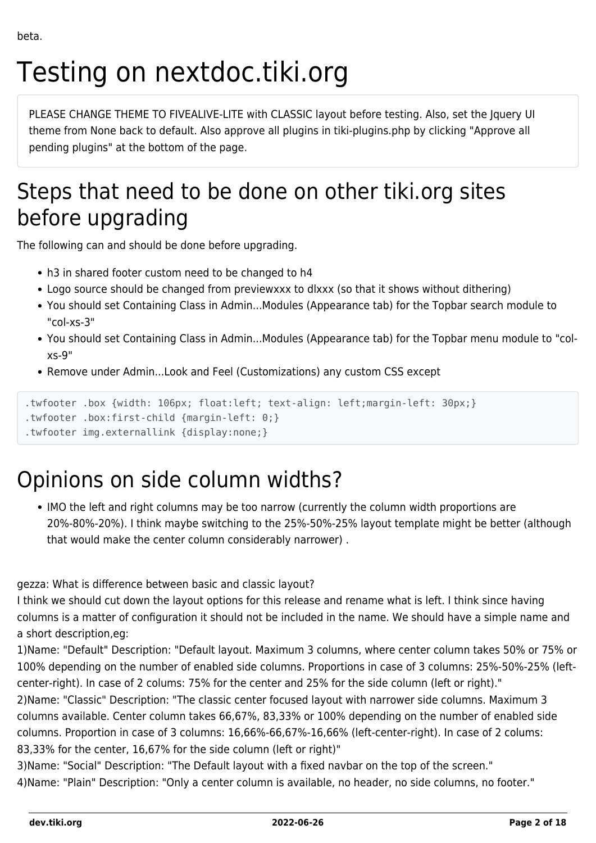# Testing on nextdoc.tiki.org

PLEASE CHANGE THEME TO FIVEALIVE-LITE with CLASSIC layout before testing. Also, set the Jquery UI theme from None back to default. Also approve all plugins in tiki-plugins.php by clicking "Approve all pending plugins" at the bottom of the page.

### Steps that need to be done on other tiki.org sites before upgrading

The following can and should be done before upgrading.

- h3 in shared footer custom need to be changed to h4
- Logo source should be changed from previewxxx to dlxxx (so that it shows without dithering)
- You should set Containing Class in Admin...Modules (Appearance tab) for the Topbar search module to "col-xs-3"
- You should set Containing Class in Admin...Modules (Appearance tab) for the Topbar menu module to "colxs-9"
- Remove under Admin...Look and Feel (Customizations) any custom CSS except

```
.twfooter .box {width: 106px; float:left; text-align: left;margin-left: 30px;}
```

```
.twfooter .box:first-child {margin-left: 0;}
```

```
.twfooter img.externallink {display:none;}
```
### Opinions on side column widths?

IMO the left and right columns may be too narrow (currently the column width proportions are 20%-80%-20%). I think maybe switching to the 25%-50%-25% layout template might be better (although that would make the center column considerably narrower) .

gezza: What is difference between basic and classic layout?

I think we should cut down the layout options for this release and rename what is left. I think since having columns is a matter of configuration it should not be included in the name. We should have a simple name and a short description,eg:

1)Name: "Default" Description: "Default layout. Maximum 3 columns, where center column takes 50% or 75% or 100% depending on the number of enabled side columns. Proportions in case of 3 columns: 25%-50%-25% (leftcenter-right). In case of 2 colums: 75% for the center and 25% for the side column (left or right)."

2)Name: "Classic" Description: "The classic center focused layout with narrower side columns. Maximum 3 columns available. Center column takes 66,67%, 83,33% or 100% depending on the number of enabled side columns. Proportion in case of 3 columns: 16,66%-66,67%-16,66% (left-center-right). In case of 2 colums: 83,33% for the center, 16,67% for the side column (left or right)"

3)Name: "Social" Description: "The Default layout with a fixed navbar on the top of the screen." 4)Name: "Plain" Description: "Only a center column is available, no header, no side columns, no footer."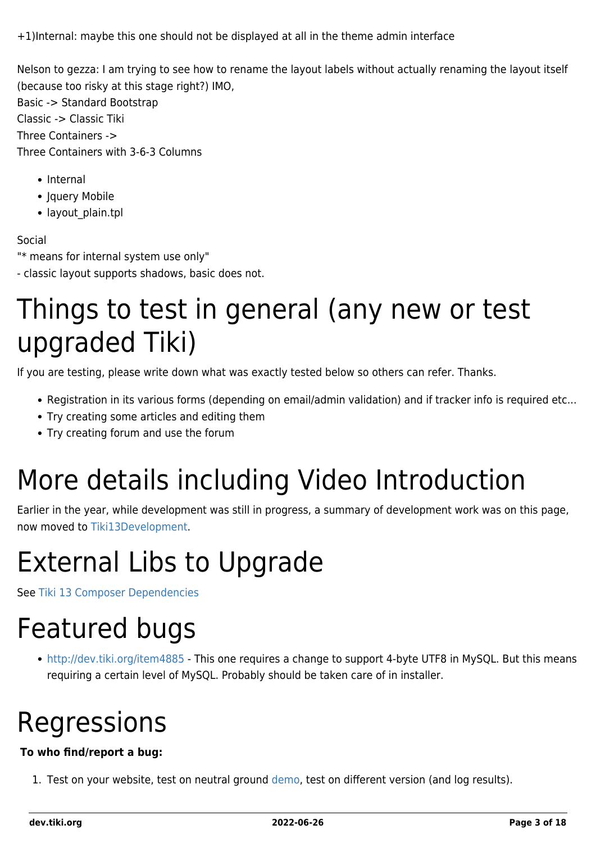+1)Internal: maybe this one should not be displayed at all in the theme admin interface

Nelson to gezza: I am trying to see how to rename the layout labels without actually renaming the layout itself (because too risky at this stage right?) IMO,

Basic -> Standard Bootstrap Classic -> Classic Tiki Three Containers -> Three Containers with 3-6-3 Columns

- Internal
- Jquery Mobile
- layout plain.tpl

#### Social

"\* means for internal system use only"

- classic layout supports shadows, basic does not.

## Things to test in general (any new or test upgraded Tiki)

If you are testing, please write down what was exactly tested below so others can refer. Thanks.

- Registration in its various forms (depending on email/admin validation) and if tracker info is required etc...
- Try creating some articles and editing them
- Try creating forum and use the forum

# More details including Video Introduction

Earlier in the year, while development was still in progress, a summary of development work was on this page, now moved to [Tiki13Development](https://dev.tiki.org/tiki13Development).

# External Libs to Upgrade

See [Tiki 13 Composer Dependencies](https://dev.tiki.org/Tiki-13-Composer-Dependencies)

## Featured bugs

<http://dev.tiki.org/item4885> - This one requires a change to support 4-byte UTF8 in MySQL. But this means requiring a certain level of MySQL. Probably should be taken care of in installer.

# Regressions

#### **To who find/report a bug:**

1. Test on your website, test on neutral ground [demo,](http://demo.tiki.org) test on different version (and log results).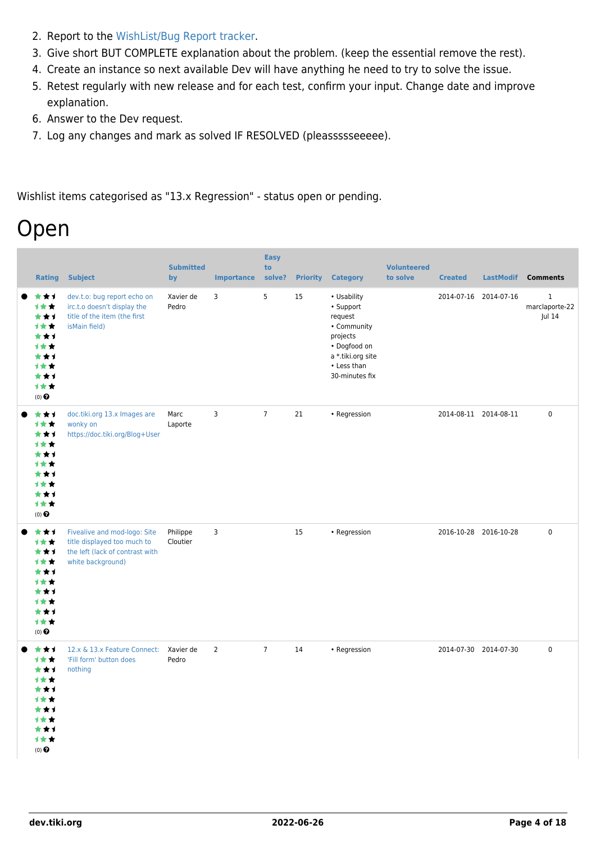- 2. Report to the [WishList/Bug Report tracker.](https://dev.tiki.org/Make+a+wish)
- 3. Give short BUT COMPLETE explanation about the problem. (keep the essential remove the rest).
- 4. Create an instance so next available Dev will have anything he need to try to solve the issue.
- 5. Retest regularly with new release and for each test, confirm your input. Change date and improve explanation.
- 6. Answer to the Dev request.
- 7. Log any changes and mark as solved IF RESOLVED (pleassssseeeee).

Wishlist items categorised as "13.x Regression" - status open or pending.

### Open

| <b>Rating</b>                                                                                        | <b>Subject</b>                                                                                                      | <b>Submitted</b><br>by | <b>Importance</b> | <b>Easy</b><br>to<br>solve? | <b>Priority</b> | <b>Category</b>                                                                                                                      | <b>Volunteered</b><br>to solve | <b>Created</b>        | <b>LastModif</b> | <b>Comments</b>                         |
|------------------------------------------------------------------------------------------------------|---------------------------------------------------------------------------------------------------------------------|------------------------|-------------------|-----------------------------|-----------------|--------------------------------------------------------------------------------------------------------------------------------------|--------------------------------|-----------------------|------------------|-----------------------------------------|
| ***<br>1★★<br>***<br>计女女<br>***<br>1★★<br>***<br>计女女<br>***<br>计女女<br>$(0)$ $\Theta$                 | dev.t.o: bug report echo on<br>irc.t.o doesn't display the<br>title of the item (the first<br>isMain field)         | Xavier de<br>Pedro     | $\overline{3}$    | 5                           | 15              | • Usability<br>• Support<br>request<br>• Community<br>projects<br>• Dogfood on<br>a *.tiki.org site<br>• Less than<br>30-minutes fix |                                | 2014-07-16 2014-07-16 |                  | $\mathbf 1$<br>marclaporte-22<br>Jul 14 |
| ***<br>1★★<br>***<br>1★★<br>***<br>计女女<br>***<br>计女女<br>***<br>计女女<br>$(0)$ $\odot$                  | doc.tiki.org 13.x Images are<br>wonky on<br>https://doc.tiki.org/Blog+User                                          | Marc<br>Laporte        | 3                 | $7\overline{ }$             | 21              | • Regression                                                                                                                         |                                | 2014-08-11 2014-08-11 |                  | $\mathsf 0$                             |
| ***<br>1★★<br>***<br>1★★<br>***<br><b>1**</b><br>***<br>计女女<br>***<br>计女女<br>$(0)$<br>$\pmb{\Theta}$ | Fivealive and mod-logo: Site<br>title displayed too much to<br>the left (lack of contrast with<br>white background) | Philippe<br>Cloutier   | 3                 |                             | 15              | • Regression                                                                                                                         |                                | 2016-10-28 2016-10-28 |                  | $\mathbf 0$                             |
| ***<br>计女女<br>***<br>1★★<br>***<br><b>1**</b><br>★★1<br>1 * *<br>***<br>计女女<br>$(0)$ $\odot$         | 12.x & 13.x Feature Connect:<br>'Fill form' button does<br>nothing                                                  | Xavier de<br>Pedro     | $\overline{2}$    | $\overline{7}$              | 14              | • Regression                                                                                                                         |                                | 2014-07-30 2014-07-30 |                  | 0                                       |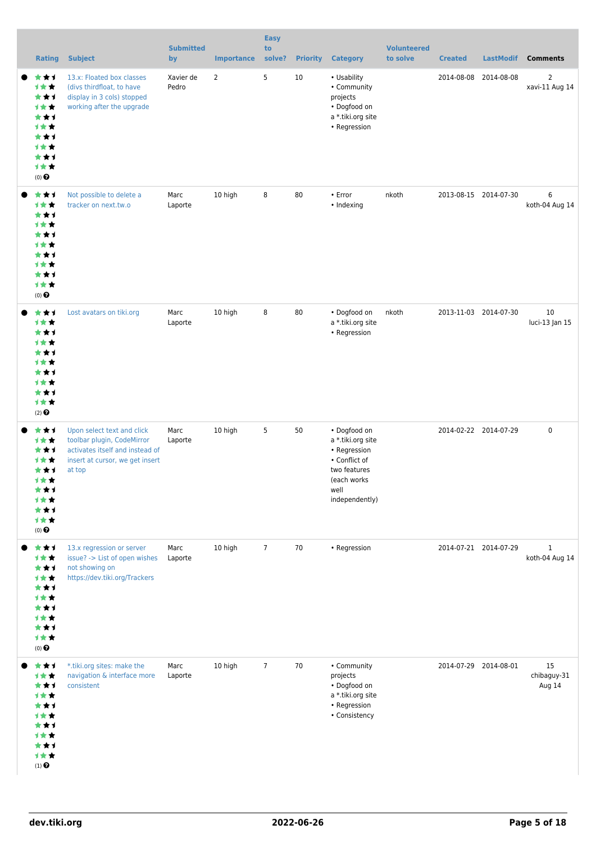|                                                                                               |                                                                                                                                          | <b>Submitted</b>         |                        | <b>Easy</b><br>to |                       |                                                                                                                             | <b>Volunteered</b> |                              |                                |                                                     |
|-----------------------------------------------------------------------------------------------|------------------------------------------------------------------------------------------------------------------------------------------|--------------------------|------------------------|-------------------|-----------------------|-----------------------------------------------------------------------------------------------------------------------------|--------------------|------------------------------|--------------------------------|-----------------------------------------------------|
| <b>Rating</b><br>***<br>计女女<br>***<br>计女女<br>***<br>计女女<br>★★1<br>计女女<br>***<br>计女女<br>(0)    | <b>Subject</b><br>13.x: Floated box classes<br>(divs thirdfloat, to have<br>display in 3 cols) stopped<br>working after the upgrade      | by<br>Xavier de<br>Pedro | <b>Importance</b><br>2 | solve?<br>5       | <b>Priority</b><br>10 | <b>Category</b><br>• Usability<br>• Community<br>projects<br>• Dogfood on<br>a *.tiki.org site<br>• Regression              | to solve           | <b>Created</b><br>2014-08-08 | <b>LastModif</b><br>2014-08-08 | <b>Comments</b><br>$\overline{2}$<br>xavi-11 Aug 14 |
| ★★1<br>计女女<br>***<br>计女女<br>★★1<br>计女女<br>***<br>1★★<br>★★1<br>计女女<br>$(0)$ $\odot$           | Not possible to delete a<br>tracker on next.tw.o                                                                                         | Marc<br>Laporte          | 10 high                | 8                 | 80                    | $\cdot$ Error<br>• Indexing                                                                                                 | nkoth              |                              | 2013-08-15 2014-07-30          | 6<br>koth-04 Aug 14                                 |
| ★★1<br>计女女<br>***<br>计女女<br>★★1<br>计女女<br>★★1<br>计女女<br>***<br>计女女<br>$(2)$ $\odot$           | Lost avatars on tiki.org                                                                                                                 | Marc<br>Laporte          | 10 high                | 8                 | 80                    | • Dogfood on<br>a *.tiki.org site<br>• Regression                                                                           | nkoth              |                              | 2013-11-03 2014-07-30          | 10<br>luci-13 Jan 15                                |
| ***<br>计女女<br>***<br>计女女<br>★★1<br>非贪食<br>★★1<br>计女女<br>***<br>计女女<br>$(0)$ $\odot$           | Upon select text and click<br>toolbar plugin, CodeMirror<br>activates itself and instead of<br>insert at cursor, we get insert<br>at top | Marc<br>Laporte          | 10 high                | 5                 | 50                    | • Dogfood on<br>a *.tiki.org site<br>• Regression<br>• Conflict of<br>two features<br>(each works<br>well<br>independently) |                    |                              | 2014-02-22 2014-07-29          | $\mathbf 0$                                         |
| ***<br>1★★<br>***<br>计女女<br>***<br>计女女<br>***<br>计女女<br>***<br>计女女<br>$(0)$ $\odot$           | 13.x regression or server<br>issue? -> List of open wishes<br>not showing on<br>https://dev.tiki.org/Trackers                            | Marc<br>Laporte          | 10 high                | $\overline{7}$    | 70                    | • Regression                                                                                                                |                    |                              | 2014-07-21 2014-07-29          | $\mathbf{1}$<br>koth-04 Aug 14                      |
| ★★1<br>计女女<br>***<br>计女女<br>***<br>1★★<br>★★1<br>计女女<br>★★1<br>计女女<br>$(1)$<br>$\pmb{\Theta}$ | *.tiki.org sites: make the<br>navigation & interface more<br>consistent                                                                  | Marc<br>Laporte          | 10 high                | $\overline{7}$    | 70                    | • Community<br>projects<br>• Dogfood on<br>a *.tiki.org site<br>• Regression<br>• Consistency                               |                    | 2014-07-29 2014-08-01        |                                | 15<br>chibaguy-31<br>Aug 14                         |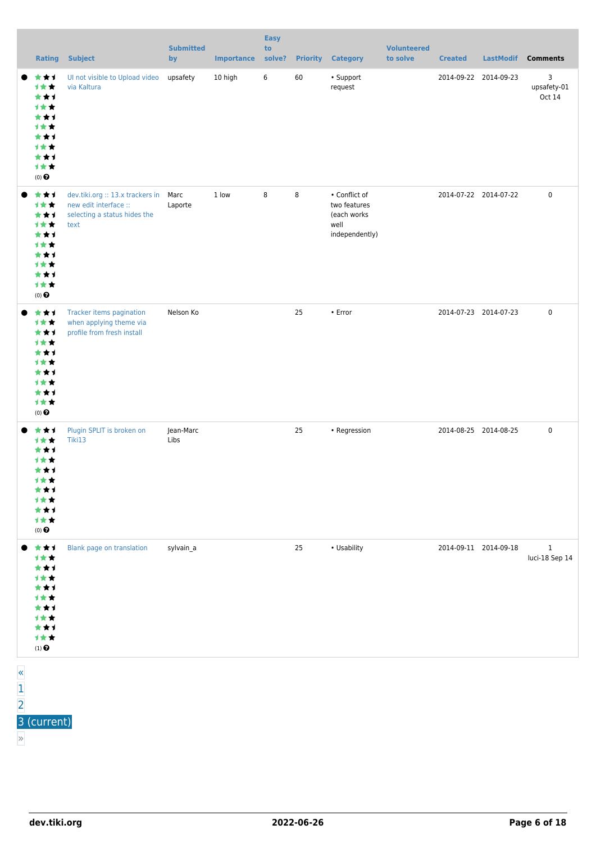|             | <b>Rating</b>                                                                                 | <b>Subject</b>                                                                                         | <b>Submitted</b><br>by | <b>Importance</b> | <b>Easy</b><br>to<br>solve? |    | <b>Priority Category</b>                                               | <b>Volunteered</b><br>to solve | <b>Created</b>        | <b>LastModif</b> | <b>Comments</b>                |
|-------------|-----------------------------------------------------------------------------------------------|--------------------------------------------------------------------------------------------------------|------------------------|-------------------|-----------------------------|----|------------------------------------------------------------------------|--------------------------------|-----------------------|------------------|--------------------------------|
|             | ***<br>1★★<br>***<br>计女女<br>***<br>1★★<br>***<br>1★★<br>***<br>计女女<br>$(0)$ $\odot$           | Ul not visible to Upload video<br>via Kaltura                                                          | upsafety               | 10 high           | 6                           | 60 | • Support<br>request                                                   |                                | 2014-09-22 2014-09-23 |                  | 3<br>upsafety-01<br>Oct 14     |
|             | ***<br>1★★<br>***<br>计女女<br>***<br>1★★<br>***<br>1★★<br>***<br>计女女<br>$(0)$ $\odot$           | dev.tiki.org :: 13.x trackers in Marc<br>new edit interface ::<br>selecting a status hides the<br>text | Laporte                | 1 low             | 8                           | 8  | • Conflict of<br>two features<br>(each works<br>well<br>independently) |                                | 2014-07-22 2014-07-22 |                  | $\mathbf 0$                    |
| ●           | ***<br>计女女<br>***<br>1★★<br>***<br>计女女<br>***<br>1★★<br>***<br>计女女<br>$(0)$<br>$\pmb{\Theta}$ | Tracker items pagination<br>when applying theme via<br>profile from fresh install                      | Nelson Ko              |                   |                             | 25 | $\cdot$ Error                                                          |                                | 2014-07-23 2014-07-23 |                  | $\mathbf 0$                    |
|             | ***<br>计女女<br>***<br>计女女<br>***<br>计女会<br>***<br>1★★<br>***<br>计女女<br>$(0)$ $\bigodot$        | Plugin SPLIT is broken on<br>Tiki13                                                                    | Jean-Marc<br>Libs      |                   |                             | 25 | • Regression                                                           |                                | 2014-08-25 2014-08-25 |                  | $\mathbf 0$                    |
|             | ***<br>***<br>***<br>计女女<br>***<br>计女女<br>***<br>计女女<br>***<br>计女女<br>$(1)$<br>$\pmb{\Theta}$ | Blank page on translation                                                                              | sylvain_a              |                   |                             | 25 | • Usability                                                            |                                | 2014-09-11 2014-09-18 |                  | $\mathbf{1}$<br>luci-18 Sep 14 |
| $rac{8}{1}$ |                                                                                               |                                                                                                        |                        |                   |                             |    |                                                                        |                                |                       |                  |                                |

#### [2](https://dev.tiki.org/tiki-print.php?tr_sort_mode1=f_41_desc&page=Tiki13&tr_offset1=20) 3 (current)

»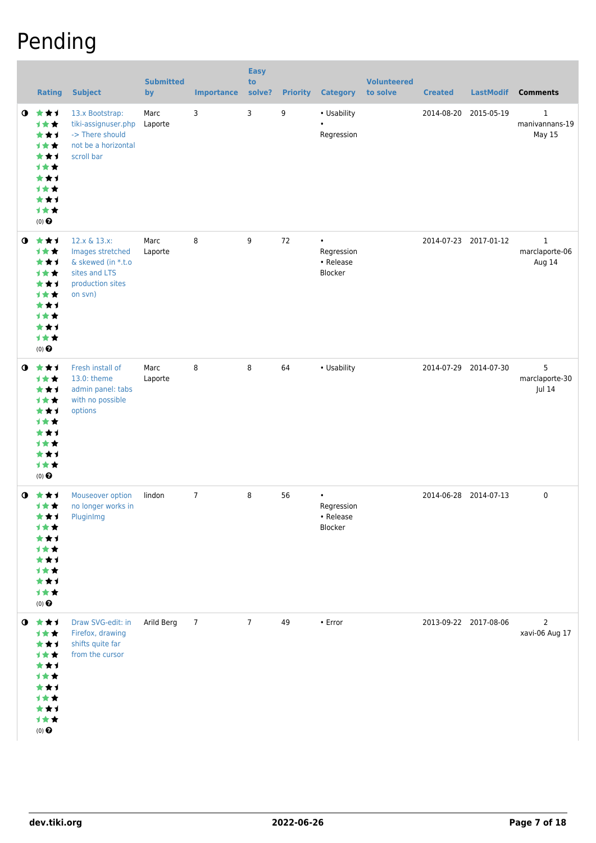### Pending

|           | <b>Rating</b>                                                                                                          | <b>Subject</b>                                                                                         | <b>Submitted</b><br>by | <b>Importance</b> | <b>Easy</b><br>to<br>solve? | <b>Priority</b> | <b>Category</b>                                 | <b>Volunteered</b><br>to solve | <b>Created</b>        | <b>LastModif</b>      | <b>Comments</b>                          |
|-----------|------------------------------------------------------------------------------------------------------------------------|--------------------------------------------------------------------------------------------------------|------------------------|-------------------|-----------------------------|-----------------|-------------------------------------------------|--------------------------------|-----------------------|-----------------------|------------------------------------------|
| $\bullet$ | 女女士<br>1★★<br>***<br><b>1**</b><br>***<br><b>1**</b><br>***<br><b>1**</b><br>***<br>计女女<br>$(0)$ $\odot$               | 13.x Bootstrap:<br>tiki-assignuser.php<br>-> There should<br>not be a horizontal<br>scroll bar         | Marc<br>Laporte        | 3                 | 3                           | 9               | • Usability<br>$\bullet$<br>Regression          |                                | 2014-08-20            | 2015-05-19            | $\mathbf{1}$<br>manivannans-19<br>May 15 |
| $\bullet$ | ***<br>1★★<br>***<br><b>1**</b><br>***<br><b>1**</b><br>***<br><b>1**</b><br>***<br>计女女<br>$(0)$ $\odot$               | 12.x & 13.x:<br>Images stretched<br>& skewed (in *.t.o<br>sites and LTS<br>production sites<br>on svn) | Marc<br>Laporte        | 8                 | 9                           | 72              | $\bullet$<br>Regression<br>• Release<br>Blocker |                                |                       | 2014-07-23 2017-01-12 | $\mathbf{1}$<br>marclaporte-06<br>Aug 14 |
| $\bullet$ | ***<br>计女女<br>***<br>1★★<br>***<br><b>1**</b><br>***<br><b>1**</b><br>***<br>计女女<br>$(0)$ $\odot$                      | Fresh install of<br>13.0: theme<br>admin panel: tabs<br>with no possible<br>options                    | Marc<br>Laporte        | 8                 | 8                           | 64              | • Usability                                     |                                |                       | 2014-07-29 2014-07-30 | 5<br>marclaporte-30<br>Jul 14            |
|           | $0 \star \star 1$<br>计女女<br>★★1<br>1★★<br>★★1<br>1★★<br>***<br><b>1★★</b><br>***<br>1★★<br>$(0)$ $\odot$               | Mouseover option<br>no longer works in<br>PluginImg                                                    | lindon                 | $\overline{7}$    | 8                           | 56              | $\bullet$<br>Regression<br>• Release<br>Blocker |                                | 2014-06-28 2014-07-13 |                       | $\mathbf 0$                              |
|           | $0$ $\star\star\star$<br>计女女<br>***<br>1★★<br>***<br><b>1★★</b><br>★★1<br>计女女<br>***<br>计女女<br>$(0)$<br>$\pmb{\Theta}$ | Draw SVG-edit: in<br>Firefox, drawing<br>shifts quite far<br>from the cursor                           | Arild Berg             | $\overline{7}$    | $\overline{7}$              | 49              | $\cdot$ Error                                   |                                | 2013-09-22 2017-08-06 |                       | $\overline{2}$<br>xavi-06 Aug 17         |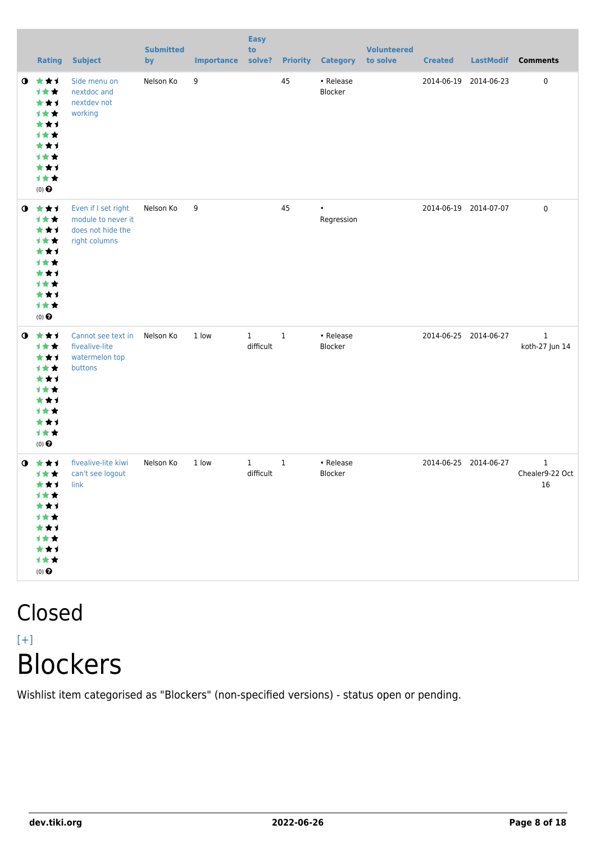|           | <b>Rating</b>                                                                                            | <b>Subject</b>                                                                  | <b>Submitted</b><br>by | <b>Importance</b> | <b>Easy</b><br>to<br>solve? |              | <b>Priority Category</b> | <b>Volunteered</b><br>to solve | <b>Created</b>        | <b>LastModif</b>      | <b>Comments</b>                       |
|-----------|----------------------------------------------------------------------------------------------------------|---------------------------------------------------------------------------------|------------------------|-------------------|-----------------------------|--------------|--------------------------|--------------------------------|-----------------------|-----------------------|---------------------------------------|
| $\bullet$ | 大大大<br>计女女<br>***<br>计女女<br>***<br>计女女<br>**1<br><b>1**</b><br>***<br>计女女<br>$(0)$ $\odot$               | Side menu on<br>nextdoc and<br>nextdev not<br>working                           | Nelson Ko              | 9                 |                             | 45           | • Release<br>Blocker     |                                | 2014-06-19            | 2014-06-23            | $\pmb{0}$                             |
| $\bullet$ | 大女子<br>计女女<br>***<br>1★★<br>***<br>1★★<br>★★1<br><b>1**</b><br>★★1<br>1★★<br>$(0)$<br>$\pmb{\Theta}$     | Even if I set right<br>module to never it<br>does not hide the<br>right columns | Nelson Ko              | 9                 |                             | 45           | $\bullet$<br>Regression  |                                | 2014-06-19 2014-07-07 |                       | $\pmb{0}$                             |
| $\bullet$ | 大大士<br>计女女<br>★★1<br><b>1**</b><br>★★1<br><b>1★★</b><br>★★1<br><b>1**</b><br>***<br>计女女<br>$(0)$ $\odot$ | Cannot see text in<br>fivealive-lite<br>watermelon top<br>buttons               | Nelson Ko              | 1 low             | $\mathbf{1}$<br>difficult   | $\,1\,$      | • Release<br>Blocker     |                                | 2014-06-25 2014-06-27 |                       | $\mathbf{1}$<br>koth-27 Jun 14        |
| $\bullet$ | ***<br>计女女<br>***<br>计女女<br>***<br>计女女<br>***<br>计女女<br>***<br>计女女<br>$(0)$ $\odot$                      | fivealive-lite kiwi<br>can't see logout<br>link                                 | Nelson Ko              | 1 low             | $\mathbf{1}$<br>difficult   | $\mathbf{1}$ | • Release<br>Blocker     |                                |                       | 2014-06-25 2014-06-27 | $\mathbf{1}$<br>Chealer9-22 Oct<br>16 |

### Closed  $[+]$ **Blockers**

Wishlist item categorised as "Blockers" (non-specified versions) - status open or pending.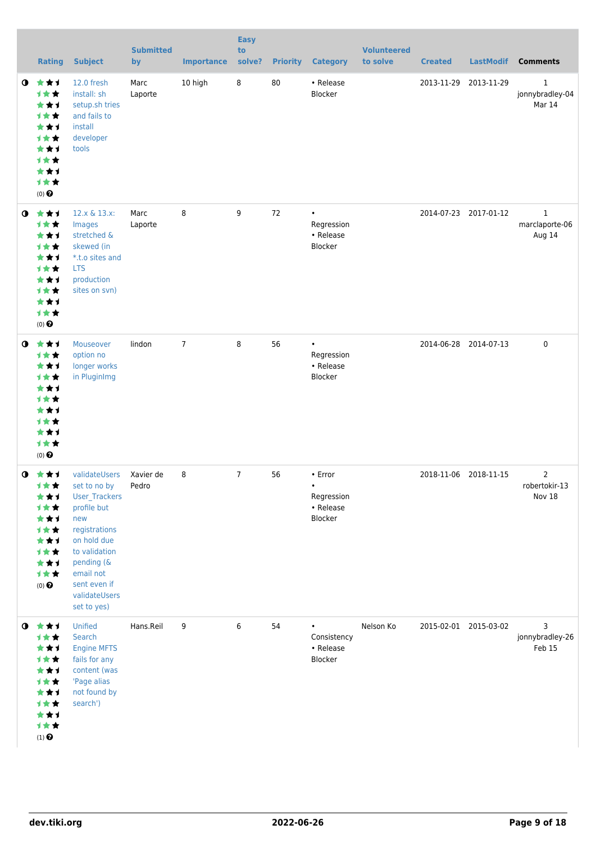|           | <b>Rating</b>                                                                                                   | <b>Subject</b>                                                                                                                                                                                   | <b>Submitted</b><br>by | <b>Importance</b> | <b>Easy</b><br>to<br>solve? | <b>Priority</b> | <b>Category</b>                                            | <b>Volunteered</b><br>to solve | <b>Created</b>        | <b>LastModif</b>      | <b>Comments</b>                           |
|-----------|-----------------------------------------------------------------------------------------------------------------|--------------------------------------------------------------------------------------------------------------------------------------------------------------------------------------------------|------------------------|-------------------|-----------------------------|-----------------|------------------------------------------------------------|--------------------------------|-----------------------|-----------------------|-------------------------------------------|
| $\bullet$ | ***<br>计女女<br>***<br>计女女<br>***<br>计女女<br>***<br>计女女<br>***<br>计女女<br>$(0)$ $\odot$                             | 12.0 fresh<br>install: sh<br>setup.sh tries<br>and fails to<br>install<br>developer<br>tools                                                                                                     | Marc<br>Laporte        | 10 high           | $\bf 8$                     | 80              | • Release<br>Blocker                                       |                                | 2013-11-29 2013-11-29 |                       | $\mathbf{1}$<br>jonnybradley-04<br>Mar 14 |
| $\bullet$ | 大女子<br>计女女<br>★★1<br>计女女<br>***<br><b>1**</b><br>***<br>计女女<br>***<br>计女女<br>$(0)$ $\odot$                      | 12.x & 13.x:<br>Images<br>stretched &<br>skewed (in<br>*.t.o sites and<br><b>LTS</b><br>production<br>sites on svn)                                                                              | Marc<br>Laporte        | 8                 | 9                           | 72              | $\bullet$<br>Regression<br>• Release<br>Blocker            |                                |                       | 2014-07-23 2017-01-12 | $\mathbf{1}$<br>marclaporte-06<br>Aug 14  |
| $\bullet$ | 女女子<br>计女女<br>***<br>计女女<br>***<br>计女女<br>**1<br><b>1**</b><br>***<br>计女女<br>$(0)$ $\odot$                      | Mouseover<br>option no<br>longer works<br>in PluginImg                                                                                                                                           | lindon                 | $\overline{7}$    | 8                           | 56              | $\bullet$<br>Regression<br>• Release<br>Blocker            |                                |                       | 2014-06-28 2014-07-13 | $\mathbf 0$                               |
| $\bullet$ | - 大 大 ゴ<br>计女女<br>★★1<br>计女女<br>***<br>计女女<br>***<br>计女女<br>***<br>计女女<br>$(0)$ $\odot$                         | validateUsers<br>set to no by<br>User_Trackers<br>profile but<br>new<br>registrations<br>on hold due<br>to validation<br>pending (&<br>email not<br>sent even if<br>validateUsers<br>set to yes) | Xavier de<br>Pedro     | 8                 | $\overline{7}$              | 56              | • Error<br>$\bullet$<br>Regression<br>• Release<br>Blocker |                                | 2018-11-06 2018-11-15 |                       | $\overline{2}$<br>robertokir-13<br>Nov 18 |
|           | $0$ $\star\star\star$<br>计女女<br>★★1<br>计女女<br>***<br>计女女<br>★★1<br>计女女<br>***<br>计女女<br>$(1)$<br>$\pmb{\Theta}$ | Unified<br>Search<br><b>Engine MFTS</b><br>fails for any<br>content (was<br>'Page alias<br>not found by<br>search')                                                                              | Hans.Reil              | 9                 | 6                           | 54              | Consistency<br>• Release<br>Blocker                        | Nelson Ko                      |                       | 2015-02-01 2015-03-02 | 3<br>jonnybradley-26<br>Feb 15            |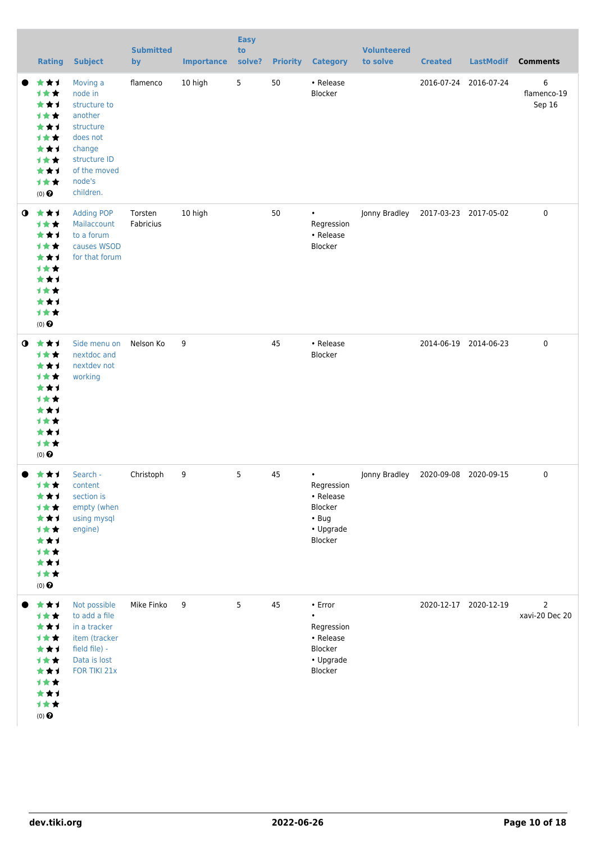|             | <b>Rating</b>                                                                                             | <b>Subject</b>                                                                                                                           | <b>Submitted</b><br>by | <b>Importance</b> | <b>Easy</b><br>to<br>solve? | <b>Priority</b> | <b>Category</b>                                                                          | <b>Volunteered</b><br>to solve | <b>Created</b>        | <b>LastModif</b>      | <b>Comments</b>                  |
|-------------|-----------------------------------------------------------------------------------------------------------|------------------------------------------------------------------------------------------------------------------------------------------|------------------------|-------------------|-----------------------------|-----------------|------------------------------------------------------------------------------------------|--------------------------------|-----------------------|-----------------------|----------------------------------|
|             | ★★1<br>计女女<br>***<br>才女女<br>***<br>计女女<br>***<br>计女女<br>***<br>计女女<br>$(0)$ $\odot$                       | Moving a<br>node in<br>structure to<br>another<br>structure<br>does not<br>change<br>structure ID<br>of the moved<br>node's<br>children. | flamenco               | 10 high           | 5                           | 50              | • Release<br>Blocker                                                                     |                                |                       | 2016-07-24 2016-07-24 | 6<br>flamenco-19<br>Sep 16       |
| $\mathbf o$ | ***<br>计女女<br>***<br>计女女<br>**1<br>计女女<br>***<br>计女女<br>***<br>计女女<br>$(0)$ <sup><math>\odot</math></sup> | <b>Adding POP</b><br>Mailaccount<br>to a forum<br>causes WSOD<br>for that forum                                                          | Torsten<br>Fabricius   | 10 high           |                             | 50              | $\bullet$<br>Regression<br>• Release<br>Blocker                                          | Jonny Bradley                  |                       | 2017-03-23 2017-05-02 | 0                                |
| $\bullet$   | ★★★<br>计女女<br>***<br>计女女<br>***<br>计女女<br>***<br>计女女<br>***<br>计女女<br>$(0)$ <sup><math>\odot</math></sup> | Side menu on<br>nextdoc and<br>nextdev not<br>working                                                                                    | Nelson Ko              | 9                 |                             | 45              | • Release<br>Blocker                                                                     |                                |                       | 2014-06-19 2014-06-23 | 0                                |
|             | ***<br>计女女<br>***<br>计女女<br>***<br>计女女<br>***<br>计女女<br>***<br>计女女<br>$(0)$ $\bigodot$                    | Search -<br>content<br>section is<br>empty (when<br>using mysql<br>engine)                                                               | Christoph              | 9                 | 5                           | 45              | $\bullet$<br>Regression<br>• Release<br>Blocker<br>$\cdot$ Bug<br>• Upgrade<br>Blocker   | Jonny Bradley                  | 2020-09-08 2020-09-15 |                       | 0                                |
|             | ***<br>计女女<br>**1<br>计女女<br>***<br>计女女<br>***<br>计女女<br>***<br>计女女<br>$(0)$ $\odot$                       | Not possible<br>to add a file<br>in a tracker<br>item (tracker<br>field file) -<br>Data is lost<br>FOR TIKI 21x                          | Mike Finko             | 9                 | 5                           | 45              | $\cdot$ Error<br>$\bullet$<br>Regression<br>• Release<br>Blocker<br>• Upgrade<br>Blocker |                                |                       | 2020-12-17 2020-12-19 | $\overline{2}$<br>xavi-20 Dec 20 |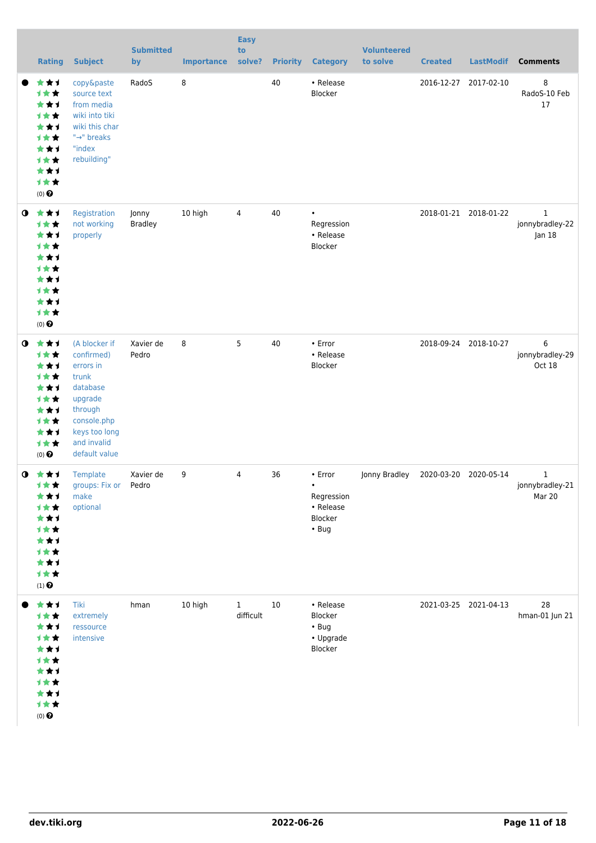|           | <b>Rating</b>                                                                                             | <b>Subject</b>                                                                                                                                      | <b>Submitted</b><br>by  | <b>Importance</b> | <b>Easy</b><br>to<br>solve? | <b>Priority</b> | <b>Category</b>                                                           | <b>Volunteered</b><br>to solve | <b>Created</b> | <b>LastModif</b>      | <b>Comments</b>                |
|-----------|-----------------------------------------------------------------------------------------------------------|-----------------------------------------------------------------------------------------------------------------------------------------------------|-------------------------|-------------------|-----------------------------|-----------------|---------------------------------------------------------------------------|--------------------------------|----------------|-----------------------|--------------------------------|
|           | ★★1<br>计女女<br>***<br>计女女<br>***<br>计女女<br>***<br>计女女<br>***<br>计女女<br>$(0)$ <sup><math>\odot</math></sup> | copy&paste<br>source text<br>from media<br>wiki into tiki<br>wiki this char<br>"→" breaks<br>"index<br>rebuilding"                                  | RadoS                   | 8                 |                             | 40              | • Release<br>Blocker                                                      |                                |                | 2016-12-27 2017-02-10 | 8<br>RadoS-10 Feb<br>17        |
| $\bullet$ | ***<br>计女女<br>***<br>计女女<br>***<br>计女女<br>***<br>计女女<br>**1<br>计女女<br>$(0)$ <sup><math>\odot</math></sup> | Registration<br>not working<br>properly                                                                                                             | Jonny<br><b>Bradley</b> | 10 high           | 4                           | 40              | $\bullet$<br>Regression<br>• Release<br>Blocker                           |                                |                | 2018-01-21 2018-01-22 | 1<br>jonnybradley-22<br>Jan 18 |
| $\bullet$ | ***<br>计女女<br>***<br>计女女<br>***<br>计女女<br>***<br>计女女<br>***<br>计女女<br>$(0)$ $\odot$                       | (A blocker if<br>confirmed)<br>errors in<br>trunk<br>database<br>upgrade<br>through<br>console.php<br>keys too long<br>and invalid<br>default value | Xavier de<br>Pedro      | 8                 | 5                           | 40              | • Error<br>• Release<br>Blocker                                           |                                |                | 2018-09-24 2018-10-27 | 6<br>jonnybradley-29<br>Oct 18 |
| $\bullet$ | - 大 大 ゴ<br>计女女<br>★★1<br>计女女<br>**1<br><b>1★★</b><br>***<br>计女女<br>***<br>计女女<br>$(1)$<br>$\pmb{\Theta}$  | Template<br>groups: Fix or Pedro<br>make<br>optional                                                                                                | Xavier de               | 9                 | 4                           | 36              | • Error<br>$\bullet$<br>Regression<br>• Release<br>Blocker<br>$\cdot$ Bug | Jonny Bradley                  |                | 2020-03-20 2020-05-14 | 1<br>jonnybradley-21<br>Mar 20 |
|           | ***<br>计女女<br>**1<br>才女女<br>**1<br>计女女<br>★★1<br>计女女<br>**1<br>计女女<br>$(0)$ $\odot$                       | Tiki<br>extremely<br>ressource<br>intensive                                                                                                         | hman                    | 10 high           | $\mathbf{1}$<br>difficult   | 10              | • Release<br>Blocker<br>$\cdot$ Bug<br>• Upgrade<br>Blocker               |                                |                | 2021-03-25 2021-04-13 | 28<br>hman-01 Jun 21           |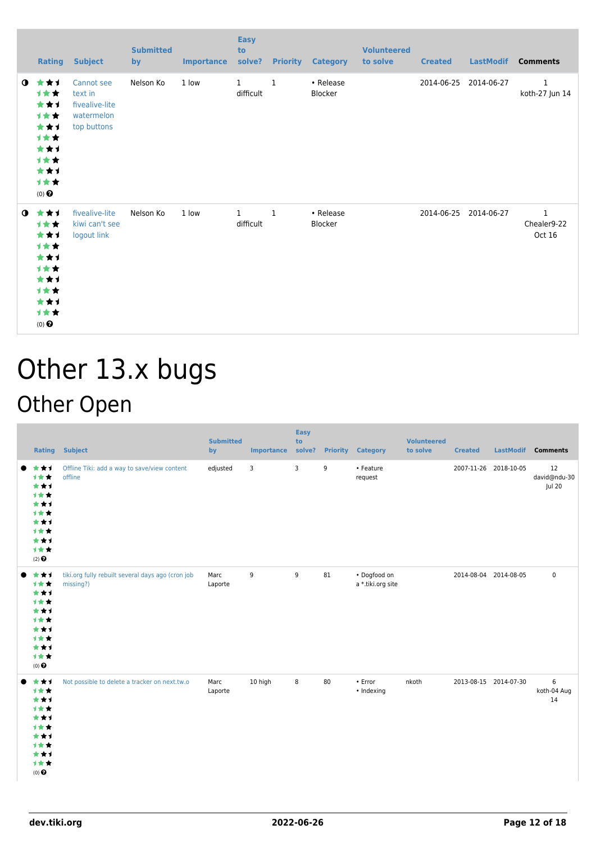|           | Rating                                                                              | <b>Subject</b>                                                       | <b>Submitted</b><br>by | <b>Importance</b> | <b>Easy</b><br>to<br>solve? |              | <b>Priority Category</b> | <b>Volunteered</b><br>to solve | <b>Created</b> | <b>LastModif</b>      | <b>Comments</b>                       |
|-----------|-------------------------------------------------------------------------------------|----------------------------------------------------------------------|------------------------|-------------------|-----------------------------|--------------|--------------------------|--------------------------------|----------------|-----------------------|---------------------------------------|
| $\bullet$ | ***<br>1★★<br>***<br>计女女<br>***<br>计女女<br>***<br>计女女<br>***<br>计女女<br>$(0)$ $\odot$ | Cannot see<br>text in<br>fivealive-lite<br>watermelon<br>top buttons | Nelson Ko              | 1 low             | $\mathbf{1}$<br>difficult   | $\mathbf{1}$ | • Release<br>Blocker     |                                | 2014-06-25     | 2014-06-27            | $\mathbf{1}$<br>koth-27 Jun 14        |
| $\bullet$ | ***<br>计女女<br>***<br>计女女<br>***<br>计女女<br>***<br>计女女<br>***<br>计女女<br>$(0)$ $\odot$ | fivealive-lite<br>kiwi can't see<br>logout link                      | Nelson Ko              | 1 low             | $\mathbf{1}$<br>difficult   | $\mathbf{1}$ | • Release<br>Blocker     |                                |                | 2014-06-25 2014-06-27 | $\mathbf{1}$<br>Chealer9-22<br>Oct 16 |

## Other 13.x bugs Other Open

| <b>Rating</b>                                                                       | <b>Subject</b>                                                 | <b>Submitted</b><br>by | <b>Importance</b> | <b>Easy</b><br>to<br>solve? | <b>Priority</b> | <b>Category</b>                   | <b>Volunteered</b><br>to solve | <b>Created</b>        | <b>LastModif</b> | <b>Comments</b>              |
|-------------------------------------------------------------------------------------|----------------------------------------------------------------|------------------------|-------------------|-----------------------------|-----------------|-----------------------------------|--------------------------------|-----------------------|------------------|------------------------------|
| ***<br>***<br>***<br>1★★<br>***<br>1★★<br>***<br>1★★<br>***<br>计女女<br>$(2)$ $\odot$ | Offline Tiki: add a way to save/view content<br>offline        | edjusted               | 3                 | 3                           | 9               | • Feature<br>request              |                                | 2007-11-26 2018-10-05 |                  | 12<br>david@ndu-30<br>Jul 20 |
| ***<br>计女女<br>***<br>1★★<br>***<br>1**<br>***<br>计女女<br>***<br>计女女<br>$(0)$ $\odot$ | tiki.org fully rebuilt several days ago (cron job<br>missing?) | Marc<br>Laporte        | 9                 | 9                           | 81              | • Dogfood on<br>a *.tiki.org site |                                | 2014-08-04 2014-08-05 |                  | $\pmb{0}$                    |
| ***<br>计女女<br>***<br>***<br>***<br>1★★<br>***<br>1★★<br>***<br>计女女<br>(0)           | Not possible to delete a tracker on next.tw.o                  | Marc<br>Laporte        | 10 high           | 8                           | 80              | $\cdot$ Error<br>• Indexing       | nkoth                          | 2013-08-15 2014-07-30 |                  | 6<br>koth-04 Aug<br>14       |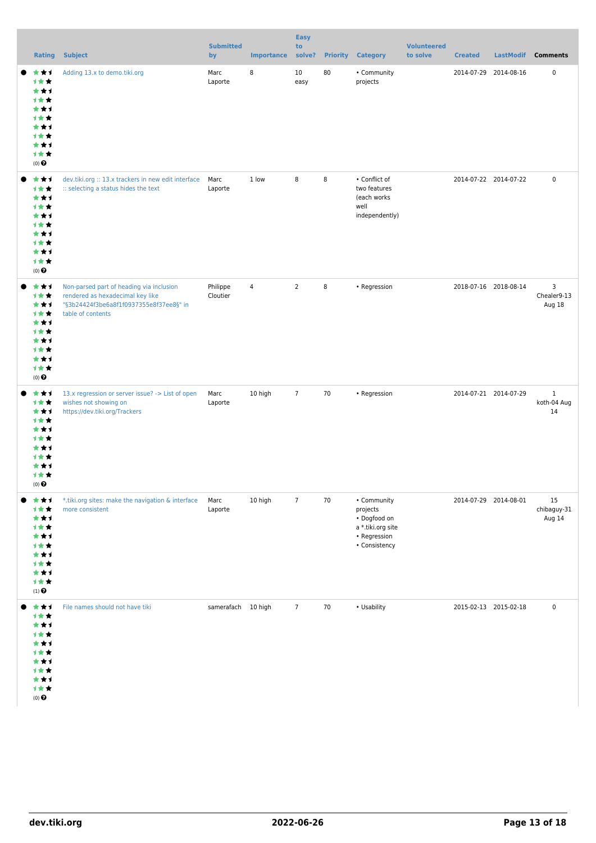|                                                                                                       |                                                                                                                                              | <b>Submitted</b>     |                   | <b>Easy</b><br>to |    |                                                                                               | <b>Volunteered</b> |                       |           |                                   |
|-------------------------------------------------------------------------------------------------------|----------------------------------------------------------------------------------------------------------------------------------------------|----------------------|-------------------|-------------------|----|-----------------------------------------------------------------------------------------------|--------------------|-----------------------|-----------|-----------------------------------|
| <b>Rating</b>                                                                                         | Subject                                                                                                                                      | by                   | <b>Importance</b> | solve?            |    | <b>Priority Category</b>                                                                      | to solve           | <b>Created</b>        | LastModif | <b>Comments</b>                   |
| ***<br>计女女<br>***<br>计女女<br>***<br>计女女<br>***<br>计女女<br>***<br>计女女<br>$(0)$ $\odot$                   | Adding 13.x to demo.tiki.org                                                                                                                 | Marc<br>Laporte      | 8                 | 10<br>easy        | 80 | • Community<br>projects                                                                       |                    | 2014-07-29 2014-08-16 |           | $\pmb{0}$                         |
| ***<br>计女女<br>***<br>计女女<br>***<br>计女女<br>***<br>计女女<br>***<br>计女女<br>$(0)$ $\odot$                   | dev.tiki.org :: 13.x trackers in new edit interface<br>:: selecting a status hides the text                                                  | Marc<br>Laporte      | 1 low             | 8                 | 8  | • Conflict of<br>two features<br>(each works<br>well<br>independently)                        |                    | 2014-07-22 2014-07-22 |           | $\pmb{0}$                         |
| ***<br>计女女<br>***<br>计女女<br>***<br>计女女<br>***<br>计女女<br>***<br>计女女<br>$(0)$ $\odot$                   | Non-parsed part of heading via inclusion<br>rendered as hexadecimal key like<br>"§3b24424f3be6a8f1f0937355e8f37ee8§" in<br>table of contents | Philippe<br>Cloutier | $\sqrt{4}$        | $\overline{2}$    | 8  | • Regression                                                                                  |                    | 2018-07-16 2018-08-14 |           | 3<br>Chealer9-13<br>Aug 18        |
| ***<br>计女女<br>***<br>计女女<br>***<br>计女女<br>***<br>计女女<br>***<br>计女女<br>$(0)$ $\bullet$                 | 13.x regression or server issue? -> List of open<br>wishes not showing on<br>https://dev.tiki.org/Trackers                                   | Marc<br>Laporte      | 10 high           | $\overline{7}$    | 70 | • Regression                                                                                  |                    | 2014-07-21 2014-07-29 |           | $\mathbf{1}$<br>koth-04 Aug<br>14 |
| ***<br>计女女<br>***<br>计女女<br>***<br>计女女<br>***<br>计女女<br>***<br>计女女<br>$\left(1\right)$ $\pmb{\Theta}$ | *.tiki.org sites: make the navigation & interface<br>more consistent                                                                         | Marc<br>Laporte      | 10 high           | $\overline{7}$    | 70 | • Community<br>projects<br>• Dogfood on<br>a *.tiki.org site<br>• Regression<br>• Consistency |                    | 2014-07-29 2014-08-01 |           | 15<br>chibaguy-31<br>Aug 14       |
| ***<br>计女女<br>***<br>计女女<br>***<br>计女女<br>***<br>计女女<br>***<br>计女女<br>$(0)$ $\odot$                   | File names should not have tiki                                                                                                              | samerafach 10 high   |                   | $\overline{7}$    | 70 | • Usability                                                                                   |                    | 2015-02-13 2015-02-18 |           | $\pmb{0}$                         |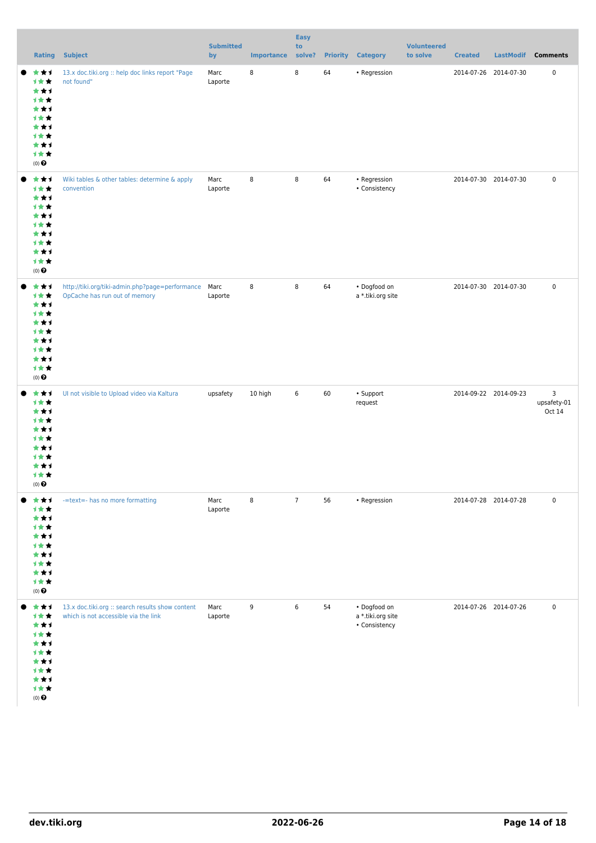|                                                                                                       | <b>Rating Subject</b>                                                                    | <b>Submitted</b><br>by | <b>Importance</b> | <b>Easy</b><br>to<br>solve? | <b>Priority</b> | <b>Category</b>                                    | <b>Volunteered</b><br>to solve | <b>Created</b>        | LastModif Comments         |
|-------------------------------------------------------------------------------------------------------|------------------------------------------------------------------------------------------|------------------------|-------------------|-----------------------------|-----------------|----------------------------------------------------|--------------------------------|-----------------------|----------------------------|
| ***<br>1★★<br>***<br>计女女<br>***<br>计女女<br>***<br>计女女<br>***<br>计女女<br>$(0)$ $\odot$                   | 13.x doc.tiki.org :: help doc links report "Page<br>not found"                           | Marc<br>Laporte        | 8                 | 8                           | 64              | • Regression                                       |                                | 2014-07-26 2014-07-30 | $\pmb{0}$                  |
| ***<br>计女女<br>***<br>计女女<br>***<br>计女女<br>***<br>计女女<br>***<br>计女女<br>$(0)$ $\pmb{\Theta}$            | Wiki tables & other tables: determine & apply<br>convention                              | Marc<br>Laporte        | 8                 | 8                           | 64              | • Regression<br>• Consistency                      |                                | 2014-07-30 2014-07-30 | $\pmb{0}$                  |
| ***<br>计女女<br>***<br>计女女<br>***<br>计女女<br>***<br>计女女<br>***<br>计女女<br>$(0)$ $\pmb{\Theta}$            | http://tiki.org/tiki-admin.php?page=performance<br>OpCache has run out of memory         | Marc<br>Laporte        | 8                 | $\,8\,$                     | 64              | • Dogfood on<br>a *.tiki.org site                  |                                | 2014-07-30 2014-07-30 | $\pmb{0}$                  |
| ***<br>计女女<br>***<br>计女女<br>***<br>计女女<br>***<br>计女女<br>***<br>计女女<br>$\left(0\right)$ $\pmb{\Theta}$ | Ul not visible to Upload video via Kaltura                                               | upsafety               | 10 high           | $\,6\,$                     | 60              | • Support<br>request                               |                                | 2014-09-22 2014-09-23 | 3<br>upsafety-01<br>Oct 14 |
| ***<br>计女女<br>***<br>计女女<br>***<br>计女女<br>***<br>1★★<br>***<br>计女女<br>$(0)$ $\odot$                   | -=text=- has no more formatting                                                          | Marc<br>Laporte        | 8                 | $\overline{7}$              | 56              | • Regression                                       |                                | 2014-07-28 2014-07-28 | $\pmb{0}$                  |
| ***<br>计女女<br>***<br>计女女<br>***<br>计女女<br>***<br>计女女<br>***<br>计女女<br>$(0)$ $\pmb{\Theta}$            | 13.x doc.tiki.org :: search results show content<br>which is not accessible via the link | Marc<br>Laporte        | 9                 | 6                           | 54              | • Dogfood on<br>a *.tiki.org site<br>• Consistency |                                | 2014-07-26 2014-07-26 | $\pmb{0}$                  |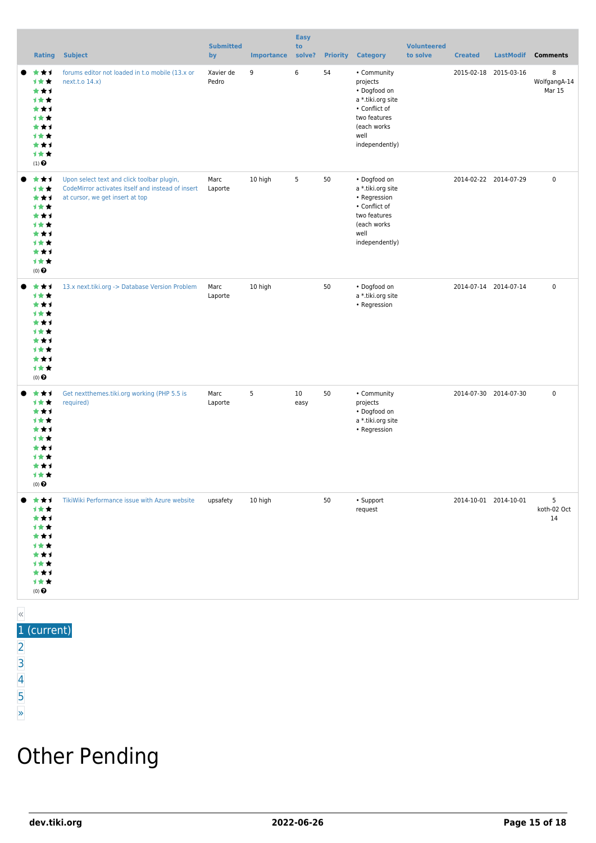|       | <b>Rating</b>                                                                       | <b>Subject</b>                                                                                                                     | <b>Submitted</b><br>by | <b>Importance</b> | <b>Easy</b><br>to<br>solve? | <b>Priority</b> | <b>Category</b>                                                                                                                        | <b>Volunteered</b><br>to solve | <b>Created</b>        | <b>LastModif</b>      | <b>Comments</b>             |
|-------|-------------------------------------------------------------------------------------|------------------------------------------------------------------------------------------------------------------------------------|------------------------|-------------------|-----------------------------|-----------------|----------------------------------------------------------------------------------------------------------------------------------------|--------------------------------|-----------------------|-----------------------|-----------------------------|
|       | ***<br>计女女<br>***<br>计女女<br>***<br>计女女<br>***<br>计女女<br>***<br>计女女<br>$(1)$ $\odot$ | forums editor not loaded in t.o mobile (13.x or<br>next.t.o 14.x)                                                                  | Xavier de<br>Pedro     | 9                 | 6                           | 54              | • Community<br>projects<br>• Dogfood on<br>a *.tiki.org site<br>• Conflict of<br>two features<br>(each works<br>well<br>independently) |                                |                       | 2015-02-18 2015-03-16 | 8<br>WolfgangA-14<br>Mar 15 |
|       | ***<br>计女女<br>***<br>计女女<br>***<br>计女女<br>***<br>计女女<br>***<br>计女女<br>$(0)$ $\odot$ | Upon select text and click toolbar plugin,<br>CodeMirror activates itself and instead of insert<br>at cursor, we get insert at top | Marc<br>Laporte        | 10 high           | 5                           | 50              | • Dogfood on<br>a *.tiki.org site<br>• Regression<br>• Conflict of<br>two features<br>(each works<br>well<br>independently)            |                                | 2014-02-22 2014-07-29 |                       | $\pmb{0}$                   |
|       | ***<br>计女女<br>***<br>计女女<br>***<br>计女女<br>***<br>计女女<br>***<br>计女女<br>$(0)$ $\odot$ | 13.x next.tiki.org -> Database Version Problem                                                                                     | Marc<br>Laporte        | 10 high           |                             | 50              | • Dogfood on<br>a *.tiki.org site<br>• Regression                                                                                      |                                | 2014-07-14 2014-07-14 |                       | $\pmb{0}$                   |
|       | ***<br>计女女<br>***<br>计女女<br>***<br>计女女<br>***<br>计女女<br>***<br>计女女<br>$(0)$ $\odot$ | Get nextthemes.tiki.org working (PHP 5.5 is<br>required)                                                                           | Marc<br>Laporte        | 5                 | 10<br>easy                  | 50              | • Community<br>projects<br>• Dogfood on<br>a *.tiki.org site<br>• Regression                                                           |                                | 2014-07-30 2014-07-30 |                       | $\mathbf 0$                 |
|       | *1<br>计女女<br>*1<br>计女女<br>***<br>计女女<br>'★ ti<br>计女女<br>***<br>计女女<br>$(0)$ $\odot$ | TikiWiki Performance issue with Azure website                                                                                      | upsafety               | 10 high           |                             | 50              | • Support<br>request                                                                                                                   |                                | 2014-10-01 2014-10-01 |                       | 5<br>koth-02 Oct<br>14      |
| $\ll$ |                                                                                     |                                                                                                                                    |                        |                   |                             |                 |                                                                                                                                        |                                |                       |                       |                             |

#### 1 (current)

- [2](https://dev.tiki.org/tiki-print.php?tr_sort_mode1=f_41_desc&page=Tiki13&tr_offset1=40&tr_offset5=20)
- [3](https://dev.tiki.org/tiki-print.php?tr_sort_mode1=f_41_desc&page=Tiki13&tr_offset1=40&tr_offset5=40)
- [4](https://dev.tiki.org/tiki-print.php?tr_sort_mode1=f_41_desc&page=Tiki13&tr_offset1=40&tr_offset5=60)
- [5](https://dev.tiki.org/tiki-print.php?tr_sort_mode1=f_41_desc&page=Tiki13&tr_offset1=40&tr_offset5=80)

#### [»](https://dev.tiki.org/tiki-print.php?tr_sort_mode1=f_41_desc&page=Tiki13&tr_offset1=40&tr_offset5=20)

### Other Pending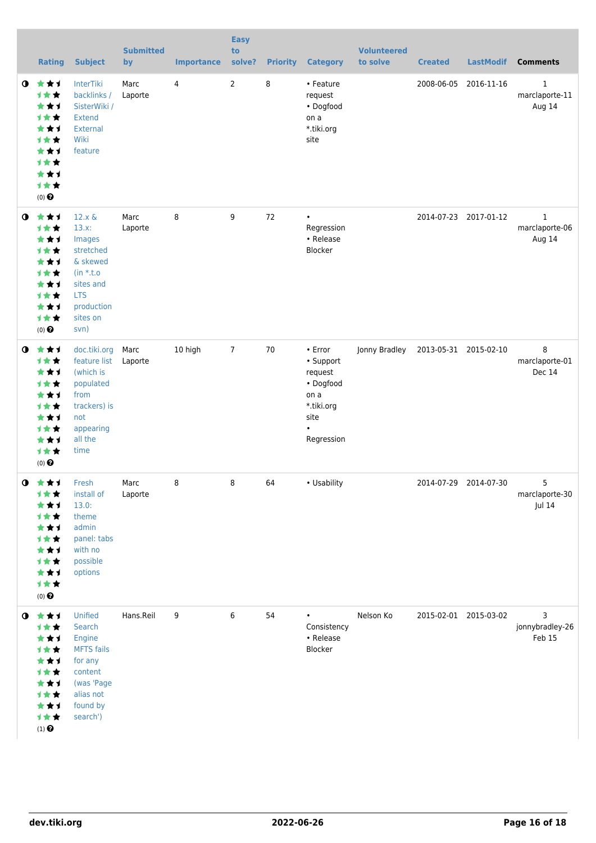|             | <b>Rating</b>                                                                                                           | <b>Subject</b>                                                                                                                        | <b>Submitted</b><br>by | <b>Importance</b> | <b>Easy</b><br>to<br>solve? | <b>Priority</b> | <b>Category</b>                                                                                       | <b>Volunteered</b><br>to solve | <b>Created</b> | <b>LastModif</b>      | <b>Comments</b>                          |
|-------------|-------------------------------------------------------------------------------------------------------------------------|---------------------------------------------------------------------------------------------------------------------------------------|------------------------|-------------------|-----------------------------|-----------------|-------------------------------------------------------------------------------------------------------|--------------------------------|----------------|-----------------------|------------------------------------------|
| $\bullet$   | 大大士<br><b>1**</b><br>***<br>才女女<br>***<br><b>1**</b><br>***<br>计女女<br>***<br>计女女<br>$(0)$ <sup><math>\odot</math></sup> | <b>InterTiki</b><br>backlinks /<br>SisterWiki /<br><b>Extend</b><br>External<br>Wiki<br>feature                                       | Marc<br>Laporte        | 4                 | $\overline{2}$              | 8               | • Feature<br>request<br>• Dogfood<br>on a<br>*.tiki.org<br>site                                       |                                | 2008-06-05     | 2016-11-16            | $\mathbf{1}$<br>marclaporte-11<br>Aug 14 |
| $\bullet$   | ***<br>计女女<br>***<br>计女女<br>***<br>计女女<br>★★1<br>计女女<br>***<br>计女女<br>$(0)$ $\odot$                                     | $12.x \&$<br>$13.x$ :<br>Images<br>stretched<br>& skewed<br>$(in * t.o)$<br>sites and<br><b>LTS</b><br>production<br>sites on<br>svn) | Marc<br>Laporte        | 8                 | 9                           | 72              | $\bullet$<br>Regression<br>• Release<br>Blocker                                                       |                                |                | 2014-07-23 2017-01-12 | $\mathbf{1}$<br>marclaporte-06<br>Aug 14 |
| $\mathbf o$ | 大女子<br>才女女<br>***<br>才女女<br>***<br>计女女<br>***<br>计女女<br>***<br>计女女<br>$(0)$ <sup><math>\odot</math></sup>               | doc.tiki.org<br>feature list<br>(which is<br>populated<br>from<br>trackers) is<br>not<br>appearing<br>all the<br>time                 | Marc<br>Laporte        | 10 high           | $7\overline{ }$             | 70              | • Error<br>• Support<br>request<br>• Dogfood<br>on a<br>*.tiki.org<br>site<br>$\bullet$<br>Regression | Jonny Bradley                  |                | 2013-05-31 2015-02-10 | 8<br>marclaporte-01<br>Dec 14            |
| $\mathbf 0$ | 女女士<br>计女女<br>***<br>计女女<br>***<br>才女女<br>***<br>1★★<br>★★1<br>计女女<br>$(0)$ $\pmb{\Theta}$                              | Fresh<br>install of<br>13.0:<br>theme<br>admin<br>panel: tabs<br>with no<br>possible<br>options                                       | Marc<br>Laporte        | 8                 | 8                           | 64              | • Usability                                                                                           |                                |                | 2014-07-29 2014-07-30 | 5<br>marclaporte-30<br>Jul 14            |
| $\bullet$   | 大大士<br>计女女<br>***<br>计女女<br>***<br>计女女<br>***<br>才女女<br>***<br>计女女<br>$\left(1\right)$ $\pmb{\Theta}$                   | Unified<br>Search<br>Engine<br><b>MFTS</b> fails<br>for any<br>content<br>(was 'Page<br>alias not<br>found by<br>search')             | Hans.Reil              | 9                 | 6                           | 54              | $\bullet$<br>Consistency<br>• Release<br>Blocker                                                      | Nelson Ko                      |                | 2015-02-01 2015-03-02 | 3<br>jonnybradley-26<br>Feb 15           |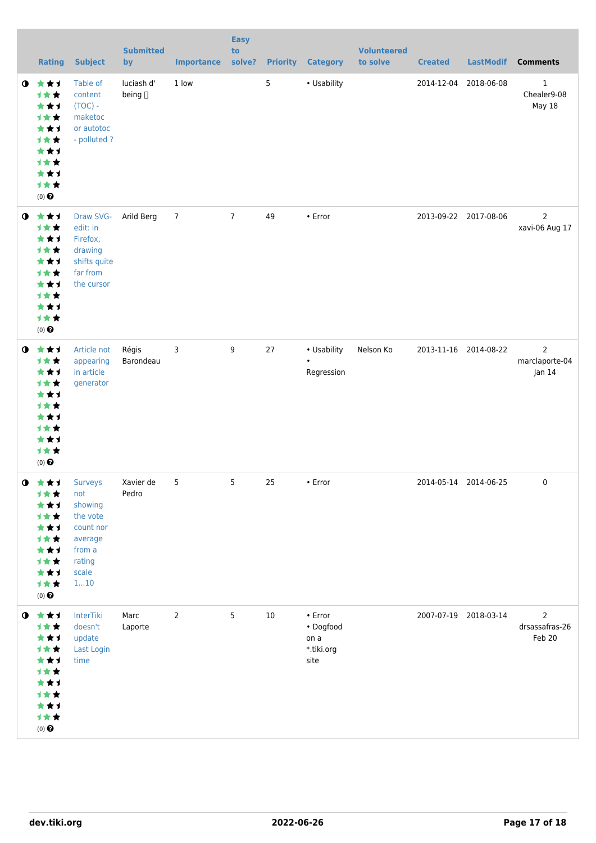|           | <b>Rating</b>                                                                                                   | <b>Subject</b>                                                                                           | <b>Submitted</b><br>by | <b>Importance</b> | <b>Easy</b><br>to<br>solve? |    | <b>Priority Category</b>                           | <b>Volunteered</b><br>to solve | <b>Created</b> | <b>LastModif</b>      | <b>Comments</b>                            |
|-----------|-----------------------------------------------------------------------------------------------------------------|----------------------------------------------------------------------------------------------------------|------------------------|-------------------|-----------------------------|----|----------------------------------------------------|--------------------------------|----------------|-----------------------|--------------------------------------------|
| $\bullet$ | 大女子<br>计女女<br>***<br>计女女<br>***<br>计女女<br>***<br>计女女<br>***<br>计女女<br>$(0)$<br>$\pmb{\Theta}$                   | Table of<br>content<br>$(TOC) -$<br>maketoc<br>or autotoc<br>- polluted?                                 | luciash d'<br>being [] | 1 low             |                             | 5  | • Usability                                        |                                |                | 2014-12-04 2018-06-08 | $1\,$<br>Chealer9-08<br>May 18             |
| $\bullet$ | 大大大<br>计女女<br>***<br>计女女<br>***<br>计女女<br>***<br>计女女<br>***<br>计女女<br>$(0)$<br>$\pmb{\Theta}$                   | Draw SVG-<br>edit: in<br>Firefox,<br>drawing<br>shifts quite<br>far from<br>the cursor                   | Arild Berg             | $\overline{7}$    | $7\overline{ }$             | 49 | • Error                                            |                                |                | 2013-09-22 2017-08-06 | $\overline{2}$<br>xavi-06 Aug 17           |
| $\bullet$ | 大女子<br>计女女<br>***<br>计女女<br>***<br>计女女<br>★★1<br>计女女<br>***<br><b>1**</b><br>$(0)$ $\odot$                      | Article not<br>appearing<br>in article<br>generator                                                      | Régis<br>Barondeau     | 3                 | 9                           | 27 | • Usability<br>$\bullet$<br>Regression             | Nelson Ko                      |                | 2013-11-16 2014-08-22 | $\overline{2}$<br>marclaporte-04<br>Jan 14 |
|           | $0$ $*$ $*$ $*$<br>计女女<br>***<br>计女女<br>***<br>计女女<br>***<br>计女女<br>***<br>计女女<br>$(0)$ $\odot$                 | <b>Surveys</b><br>not<br>showing<br>the vote<br>count nor<br>average<br>from a<br>rating<br>scale<br>110 | Xavier de<br>Pedro     | 5                 | 5                           | 25 | $\cdot$ Error                                      |                                |                | 2014-05-14 2014-06-25 | 0                                          |
|           | $0$ $\star\star\star$<br>计女女<br>***<br>计女女<br>***<br>计女女<br>***<br>计女女<br>***<br>1★★<br>$(0)$<br>$\pmb{\Theta}$ | InterTiki<br>doesn't<br>update<br>Last Login<br>time                                                     | Marc<br>Laporte        | $\overline{2}$    | 5                           | 10 | • Error<br>• Dogfood<br>on a<br>*.tiki.org<br>site |                                |                | 2007-07-19 2018-03-14 | 2<br>drsassafras-26<br>Feb 20              |